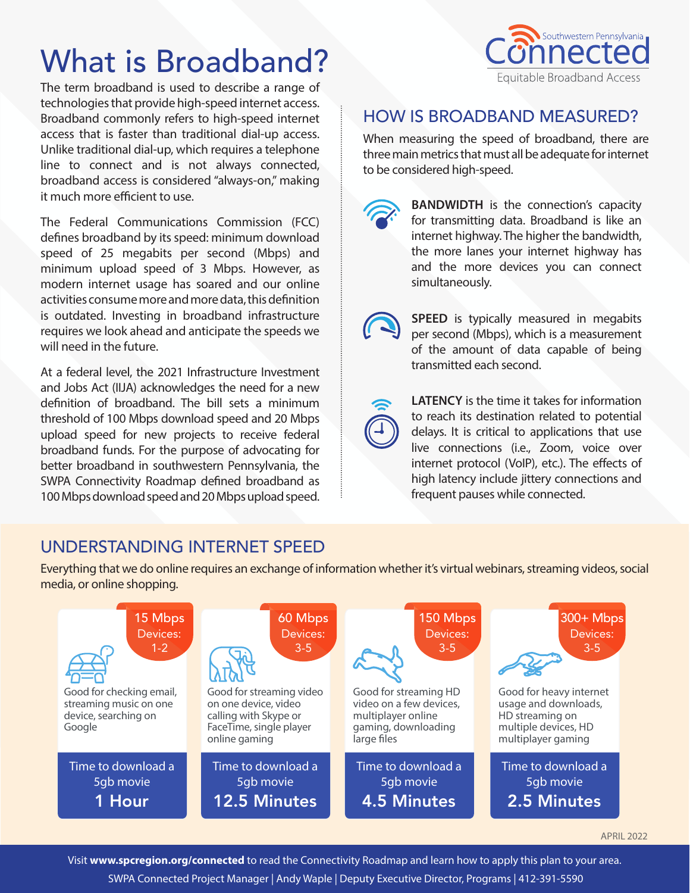# What is Broadband?

The term broadband is used to describe a range of technologies that provide high-speed internet access. Broadband commonly refers to high-speed internet access that is faster than traditional dial-up access. Unlike traditional dial-up, which requires a telephone line to connect and is not always connected, broadband access is considered "always-on," making it much more efficient to use.

The Federal Communications Commission (FCC) defines broadband by its speed: minimum download speed of 25 megabits per second (Mbps) and minimum upload speed of 3 Mbps. However, as modern internet usage has soared and our online activities consume more and more data, this definition is outdated. Investing in broadband infrastructure requires we look ahead and anticipate the speeds we will need in the future.

At a federal level, the 2021 Infrastructure Investment and Jobs Act (IIJA) acknowledges the need for a new definition of broadband. The bill sets a minimum threshold of 100 Mbps download speed and 20 Mbps upload speed for new projects to receive federal broadband funds. For the purpose of advocating for better broadband in southwestern Pennsylvania, the SWPA Connectivity Roadmap defined broadband as 100 Mbps download speed and 20 Mbps upload speed.



# HOW IS BROADBAND MEASURED?

When measuring the speed of broadband, there are three main metrics that must all be adequate for internet to be considered high-speed.



**BANDWIDTH** is the connection's capacity for transmitting data. Broadband is like an internet highway. The higher the bandwidth, the more lanes your internet highway has and the more devices you can connect simultaneously.



**SPEED** is typically measured in megabits per second (Mbps), which is a measurement of the amount of data capable of being transmitted each second.



**LATENCY** is the time it takes for information to reach its destination related to potential delays. It is critical to applications that use live connections (i.e., Zoom, voice over internet protocol (VoIP), etc.). The effects of high latency include jittery connections and frequent pauses while connected.

# UNDERSTANDING INTERNET SPEED

Everything that we do online requires an exchange of information whether it's virtual webinars, streaming videos, social media, or online shopping.

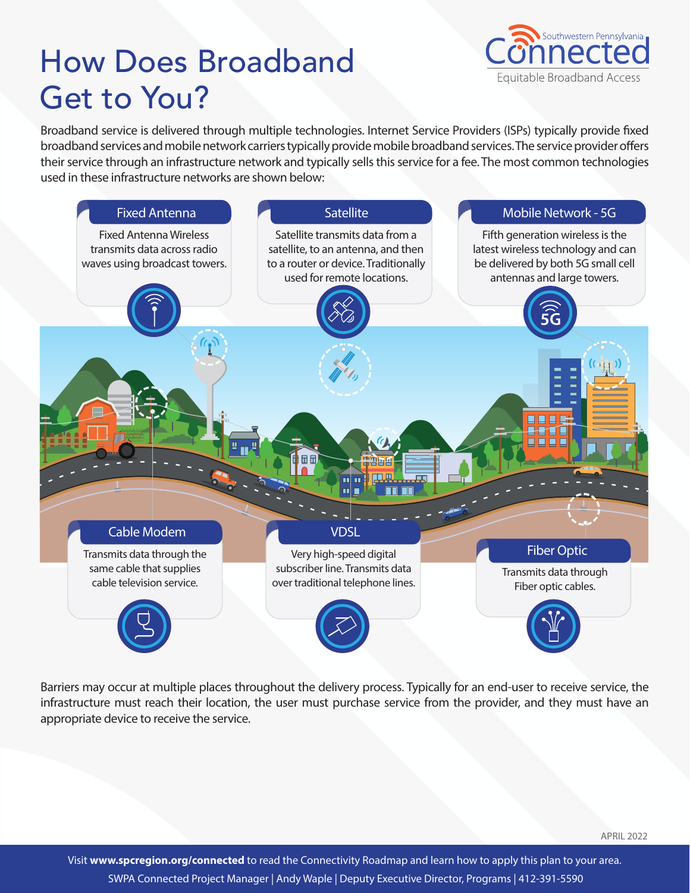# How Does Broadband Get to You?



Broadband service is delivered through multiple technologies. Internet Service Providers (ISPs) typically provide fixed broadband services and mobile network carriers typically provide mobile broadband services. The service provider offers their service through an infrastructure network and typically sells this service for a fee. The most common technologies used in these infrastructure networks are shown below:



Barriers may occur at multiple places throughout the delivery process. Typically for an end-user to receive service, the infrastructure must reach their location, the user must purchase service from the provider, and they must have an appropriate device to receive the service.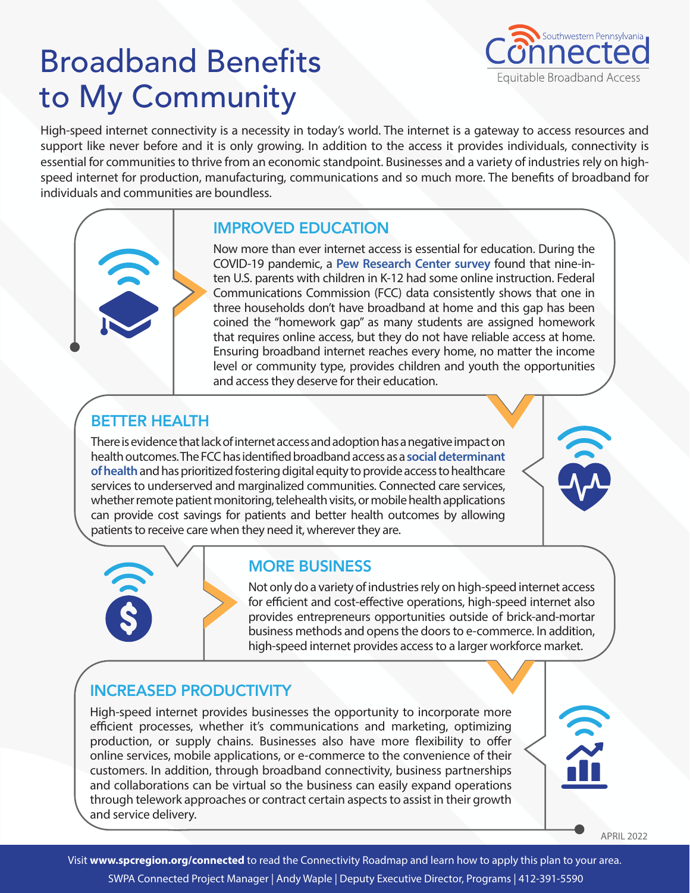# Broadband Benefits to My Community



High-speed internet connectivity is a necessity in today's world. The internet is a gateway to access resources and support like never before and it is only growing. In addition to the access it provides individuals, connectivity is essential for communities to thrive from an economic standpoint. Businesses and a variety of industries rely on highspeed internet for production, manufacturing, communications and so much more. The benefits of broadband for individuals and communities are boundless.

# IMPROVED EDUCATION

Now more than ever internet access is essential for education. During the COVID-19 pandemic, a **[Pew Research Center survey](https://www.pewresearch.org/fact-tank/2021/10/01/what-we-know-about-online-learning-and-the-homework-gap-amid-the-pandemic/)** found that nine-inten U.S. parents with children in K-12 had some online instruction. Federal Communications Commission (FCC) data consistently shows that one in three households don't have broadband at home and this gap has been coined the "homework gap" as many students are assigned homework that requires online access, but they do not have reliable access at home. Ensuring broadband internet reaches every home, no matter the income level or community type, provides children and youth the opportunities and access they deserve for their education.

# BETTER HEALTH

There is evidence that lack of internet access and adoption has a negative impact on health outcomes. The FCC has identified broadband access as a **[social determinant](https://www.fcc.gov/health/SDOH)  [of health](https://www.fcc.gov/health/SDOH)** and has prioritized fostering digital equity to provide access to healthcare services to underserved and marginalized communities. Connected care services, whether remote patient monitoring, telehealth visits, or mobile health applications can provide cost savings for patients and better health outcomes by allowing patients to receive care when they need it, wherever they are.



Not only do a variety of industries rely on high-speed internet access for efficient and cost-effective operations, high-speed internet also provides entrepreneurs opportunities outside of brick-and-mortar business methods and opens the doors to e-commerce. In addition, high-speed internet provides access to a larger workforce market.

# INCREASED PRODUCTIVITY

High-speed internet provides businesses the opportunity to incorporate more efficient processes, whether it's communications and marketing, optimizing production, or supply chains. Businesses also have more flexibility to offer online services, mobile applications, or e-commerce to the convenience of their customers. In addition, through broadband connectivity, business partnerships and collaborations can be virtual so the business can easily expand operations through telework approaches or contract certain aspects to assist in their growth and service delivery.

APRIL 2022

 $\mathbf{\hat{z}}$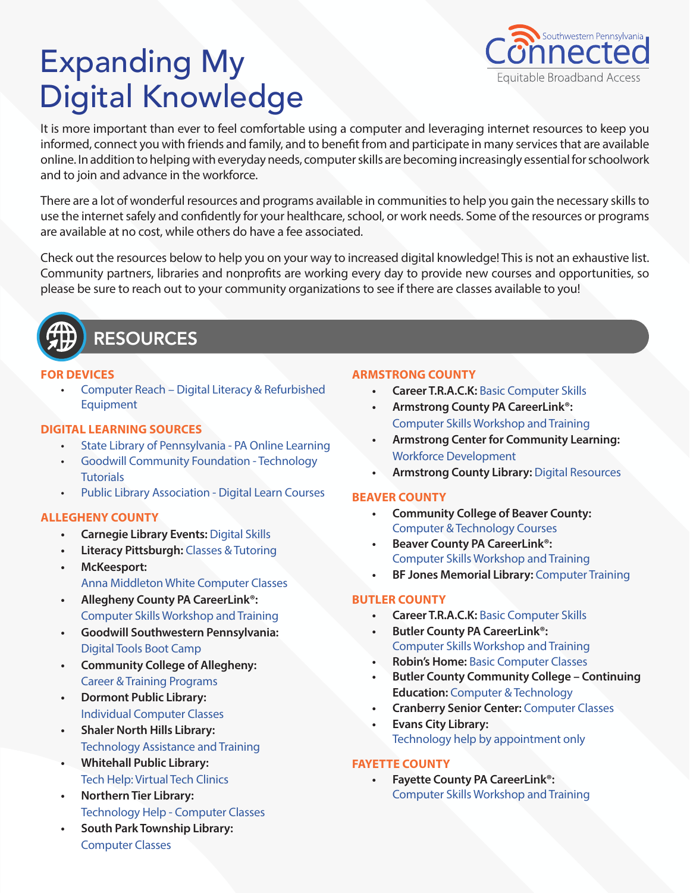# Expanding My Digital Knowledge



It is more important than ever to feel comfortable using a computer and leveraging internet resources to keep you informed, connect you with friends and family, and to benefit from and participate in many services that are available online. In addition to helping with everyday needs, computer skills are becoming increasingly essential for schoolwork and to join and advance in the workforce.

There are a lot of wonderful resources and programs available in communities to help you gain the necessary skills to use the internet safely and confidently for your healthcare, school, or work needs. Some of the resources or programs are available at no cost, while others do have a fee associated.

Check out the resources below to help you on your way to increased digital knowledge! This is not an exhaustive list. Community partners, libraries and nonprofits are working every day to provide new courses and opportunities, so please be sure to reach out to your community organizations to see if there are classes available to you!



# **RESOURCES**

## **FOR DEVICES**

• [Computer Reach – Digital Literacy & Refurbished](https://www.computerreach.org/)  **[Equipment](https://www.computerreach.org/)** 

# **DIGITAL LEARNING SOURCES**

- [State Library of Pennsylvania PA Online Learning](https://my.nicheacademy.com/paocl)
- [Goodwill Community Foundation Technology](https://edu.gcfglobal.org/en/subjects/tech/)  **[Tutorials](https://edu.gcfglobal.org/en/subjects/tech/)**
- [Public Library Association Digital Learn Courses](https://www.digitallearn.org/)

# **ALLEGHENY COUNTY**

- **• Carnegie Library Events:** [Digital Skills](https://www.carnegielibrary.org/events/)
- **• Literacy Pittsburgh:** [Classes & Tutoring](https://www.literacypittsburgh.org/programs/)
- **• McKeesport:** [Anna Middleton White Computer Classes](https://www.amwlearningcenter.org/computer-literacy.html)
- **• Allegheny County PA CareerLink®:** [Computer Skills Workshop and Training](https://www.pacareerlink.pa.gov/jponline/JobSeeker/Calendar?eB6mMRju48wMGpO29SVZTa06QM@@66m2D5nD17gTt78-4p2yQRpfSKiMEx5xPF86PYzZyMj5euQLy@DjlwjjJzlw1Xx0yZQ6)
- **• Goodwill Southwestern Pennsylvania:**  [Digital Tools Boot Camp](https://www.goodwillswpa.org/digital)
- **• Community College of Allegheny:**  [Career & Training Programs](https://www.ccac.edu/workforce/workforce-community-training/career-preparation-and-training.php)
- **• Dormont Public Library:**  [Individual Computer Classes](https://dormontlibrary.org/programs/free-individual-computer-classes-at-dormont-library/)
- **• Shaler North Hills Library:** [Technology Assistance and Training](https://www.shalerlibrary.org/for-adults/technology-programs/)
- **• Whitehall Public Library:** [Tech Help: Virtual Tech Clinics](https://www.whitehallpubliclibrary.org/adults-parent/adults/technology-classes/)
- **• Northern Tier Library:**  [Technology Help - Computer Classes](http://www.eventkeeper.com/mars/xpages/N/NTRL/EK.cfm?zeeOrg=NTRL)
- **• South Park Township Library:**  [Computer Classes](http://www.eventkeeper.com/mars/xpages/S/SPARK/EKP.cfm?zeeOrg=SPARK)

# **ARMSTRONG COUNTY**

- **• Career T.R.A.C.K:** [Basic Computer Skills](http://www.tricountyct.com/index.php/programs-services/basic-computer-skills)
- **• Armstrong County PA CareerLink®:**  [Computer Skills Workshop and Training](https://www.pacareerlink.pa.gov/jponline/JobSeeker/Calendar?8z5WYusgg1ha0tXrCpQX2oE8_Xu72W3Bz_tov4@yZLw-DQ5fH_T5THH4hD0x_XzXmbDssIIVa4BnFISF9DOUmYNznAvOfsHX)
- **• Armstrong Center for Community Learning:**  [Workforce Development](https://www.armstrongcenter.org/adult-education/workforce-development/)
- **• Armstrong County Library:** [Digital Resources](https://www.armstronglibraries.org/fc-resources)

# **BEAVER COUNTY**

- **• Community College of Beaver County:** [Computer & Technology Courses](https://ccbc.coursestorm.com/category/computers-technology)
- **• Beaver County PA CareerLink®:** [Computer Skills Workshop and Training](https://www.pacareerlink.pa.gov/jponline/JobSeeker/Calendar?Hfz8slKEsfk3SeLwUqi9h89aY4bLfLssdP4jvuFRA9o-ZYkYy_U7xFTgNKz3gUj@2Wthula7W1reOr8Nwn70NIIAxXVlYhy@)
- **• BF Jones Memorial Library:** [Computer Training](https://bfjonespa.universalclass.com/register.htm)

# **BUTLER COUNTY**

- **• Career T.R.A.C.K:** [Basic Computer Skills](http://www.tricountyct.com/index.php/programs-services/basic-computer-skills)
- **• Butler County PA CareerLink®:** [Computer Skills Workshop and Training](https://www.pacareerlink.pa.gov/jponline/JobSeeker/Calendar?HDcOPAay8qJ9SgAR6PVjwDst8Vi_XxjlBwnjx0WtmFk-4nngKEZ5k3E6ERiOKDqg1tepyO4oNx5m7fxypWdklZAON5nvgpKg)
- **• Robin's Home:** [Basic Computer Classes](https://robinshome.us/free-basic-computer-classes/)
- **• Butler County Community College Continuing Education:** [Computer & Technology](https://bc3.augusoft.net/index.cfm?method=ClassListing.ClassListingDisplay&int_category_id=10&int_sub_category_id=3&int_catalog_id=)
- **• Cranberry Senior Center:** [Computer Classes](https://www.cranberrytownship.org/891/Computer-Classes)
- **• Evans City Library:** [Technology help by appointment only](https://www.evanscitylibrary.org/resources)

# **FAYETTE COUNTY**

**• Fayette County PA CareerLink®:** [Computer Skills Workshop and Training](https://www.pacareerlink.pa.gov/jponline/JobSeeker/Calendar?yQZi6QZmRZsjh2qoQ6jxxzWpPJwPRX5PmsZdzKACgWU-nVtJzbu4_8VQS3FRBqw8cRPU4sI8@SAMPcLko0mn5cErcjN1JUz8)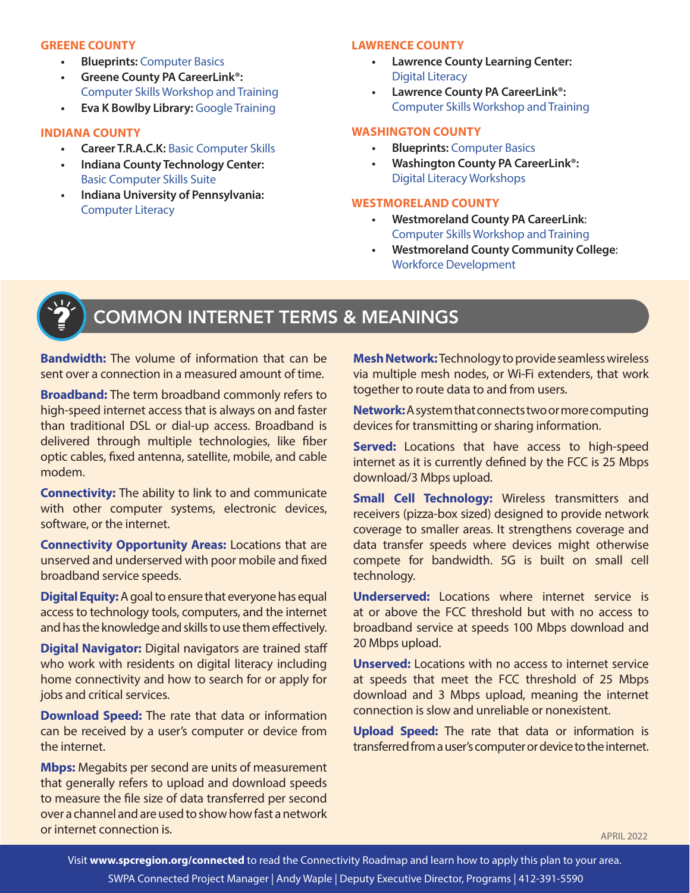### **GREENE COUNTY**

- **• Blueprints:** [Computer Basics](https://myblueprints.org/services/mind/digital-literacy/)
- **• Greene County PA CareerLink®:** [Computer Skills Workshop and Training](https://www.pacareerlink.pa.gov/jponline/JobSeeker/Calendar?k3hslYAwSdYvVKcno6AR94@Z_1fff0sYseHwjpb5d@I-oq3oCNdYPpWBYB1_qL1ahUV0ATTST8xgJ79tgcKIO5pQw0eao0Ca)
- **• Eva K Bowlby Library:** [Google Training](https://my.nicheacademy.com/evakbowlby)

### **INDIANA COUNTY**

- **• Career T.R.A.C.K:** [Basic Computer Skills](http://www.tricountyct.com/index.php/programs-services/basic-computer-skills)
- **• Indiana County Technology Center:** [Basic Computer Skills Suite](https://www.ed2go.com/ictconline/online-courses/computer-courses/)
- **• Indiana University of Pennsylvania:** [Computer Literacy](https://catalog.iup.edu/preview_course_nopop.php?catoid=6&coid=20716)

### **LAWRENCE COUNTY**

- **• Lawrence County Learning Center:** [Digital Literacy](https://www.lawrencecountylearning.com/individuals/)
- **• Lawrence County PA CareerLink®:**  [Computer Skills Workshop and Training](https://www.pacareerlink.pa.gov/jponline/JobSeeker/Calendar?rTUS@rroQ7zZ_Rgl8LTTio2QMCLIjeD68ti5DVRkKJE-czxVnajObpknRMxTvJYvw0AXDCqDJsdgHyTZCxuQxnhGcTFhVXnv)

### **WASHINGTON COUNTY**

- **• Blueprints:** [Computer Basics](https://myblueprints.org/services/mind/digital-literacy/)
- **• Washington County PA CareerLink®:** [Digital Literacy Workshops](https://www.pacareerlink.pa.gov/jponline/JobSeeker/Calendar?kNysbSUa41i1v2kl2nowetXz7tOBqe1psLdA2RJDW7k-Rd9yzRnPmuLygX8bymsMkXuYW6AbopPPKZHEz0ZPVc2QMwAbyYzM)

### **WESTMORELAND COUNTY**

- **• Westmoreland County PA CareerLink**: [Computer Skills Workshop and Training](https://www.pacareerlink.pa.gov/jponline/JobSeeker/Calendar?koBgMsejCpzdc5s7_hAL6aq9mtlsd4ZTjdtDytBKyMM-dk12ivwXTaP2twjirns_oO38IC_nBmY_j@bIx4rwAQ1qvP7y28i_)
- **• Westmoreland County Community College**: [Workforce Development](https://westmoreland.edu/academics/workforce-development/index.html)



# COMMON INTERNET TERMS & MEANINGS

**Bandwidth:** The volume of information that can be sent over a connection in a measured amount of time.

**Broadband:** The term broadband commonly refers to high-speed internet access that is always on and faster than traditional DSL or dial-up access. Broadband is delivered through multiple technologies, like fiber optic cables, fixed antenna, satellite, mobile, and cable modem.

**Connectivity:** The ability to link to and communicate with other computer systems, electronic devices, software, or the internet.

**Connectivity Opportunity Areas:** Locations that are unserved and underserved with poor mobile and fixed broadband service speeds.

**Digital Equity:** A goal to ensure that everyone has equal access to technology tools, computers, and the internet and has the knowledge and skills to use them effectively.

**Digital Navigator:** Digital navigators are trained staff who work with residents on digital literacy including home connectivity and how to search for or apply for jobs and critical services.

**Download Speed:** The rate that data or information can be received by a user's computer or device from the internet.

**Mbps:** Megabits per second are units of measurement that generally refers to upload and download speeds to measure the file size of data transferred per second over a channel and are used to show how fast a network or internet connection is.

**Mesh Network:**Technology to provide seamless wireless via multiple mesh nodes, or Wi-Fi extenders, that work together to route data to and from users.

**Network:** A system that connects two or more computing devices for transmitting or sharing information.

**Served:** Locations that have access to high-speed internet as it is currently defined by the FCC is 25 Mbps download/3 Mbps upload.

**Small Cell Technology:** Wireless transmitters and receivers (pizza-box sized) designed to provide network coverage to smaller areas. It strengthens coverage and data transfer speeds where devices might otherwise compete for bandwidth. 5G is built on small cell technology.

**Underserved:** Locations where internet service is at or above the FCC threshold but with no access to broadband service at speeds 100 Mbps download and 20 Mbps upload.

**Unserved:** Locations with no access to internet service at speeds that meet the FCC threshold of 25 Mbps download and 3 Mbps upload, meaning the internet connection is slow and unreliable or nonexistent.

**Upload Speed:** The rate that data or information is transferred from a user's computer or device to the internet.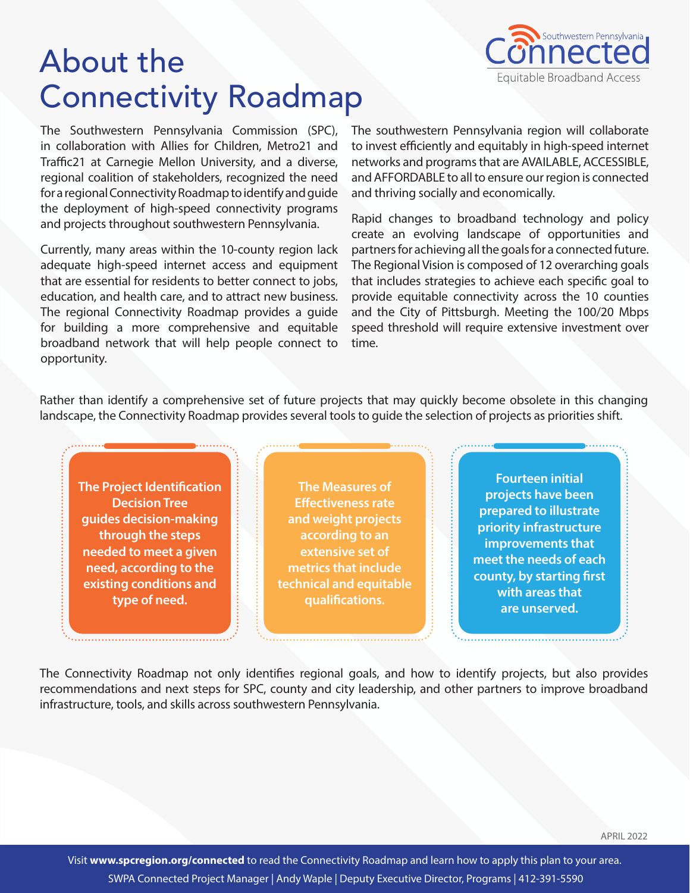

# About the Connectivity Roadmap

The Southwestern Pennsylvania Commission (SPC), in collaboration with Allies for Children, Metro21 and Traffic21 at Carnegie Mellon University, and a diverse, regional coalition of stakeholders, recognized the need for a regional Connectivity Roadmap to identify and guide the deployment of high-speed connectivity programs and projects throughout southwestern Pennsylvania.

Currently, many areas within the 10-county region lack adequate high-speed internet access and equipment that are essential for residents to better connect to jobs, education, and health care, and to attract new business. The regional Connectivity Roadmap provides a guide for building a more comprehensive and equitable broadband network that will help people connect to opportunity.

The southwestern Pennsylvania region will collaborate to invest efficiently and equitably in high-speed internet networks and programs that are AVAILABLE, ACCESSIBLE, and AFFORDABLE to all to ensure our region is connected and thriving socially and economically.

Rapid changes to broadband technology and policy create an evolving landscape of opportunities and partners for achieving all the goals for a connected future. The Regional Vision is composed of 12 overarching goals that includes strategies to achieve each specific goal to provide equitable connectivity across the 10 counties and the City of Pittsburgh. Meeting the 100/20 Mbps speed threshold will require extensive investment over time.

Rather than identify a comprehensive set of future projects that may quickly become obsolete in this changing landscape, the Connectivity Roadmap provides several tools to guide the selection of projects as priorities shift.

**The Project Identification Decision Tree guides decision-making through the steps needed to meet a given need, according to the existing conditions and type of need.** 

**The Measures of Effectiveness rate and weight projects according to an extensive set of metrics that include technical and equitable qualifications.** 

**Fourteen initial projects have been prepared to illustrate priority infrastructure improvements that meet the needs of each county, by starting first with areas that are unserved.**

The Connectivity Roadmap not only identifies regional goals, and how to identify projects, but also provides recommendations and next steps for SPC, county and city leadership, and other partners to improve broadband infrastructure, tools, and skills across southwestern Pennsylvania.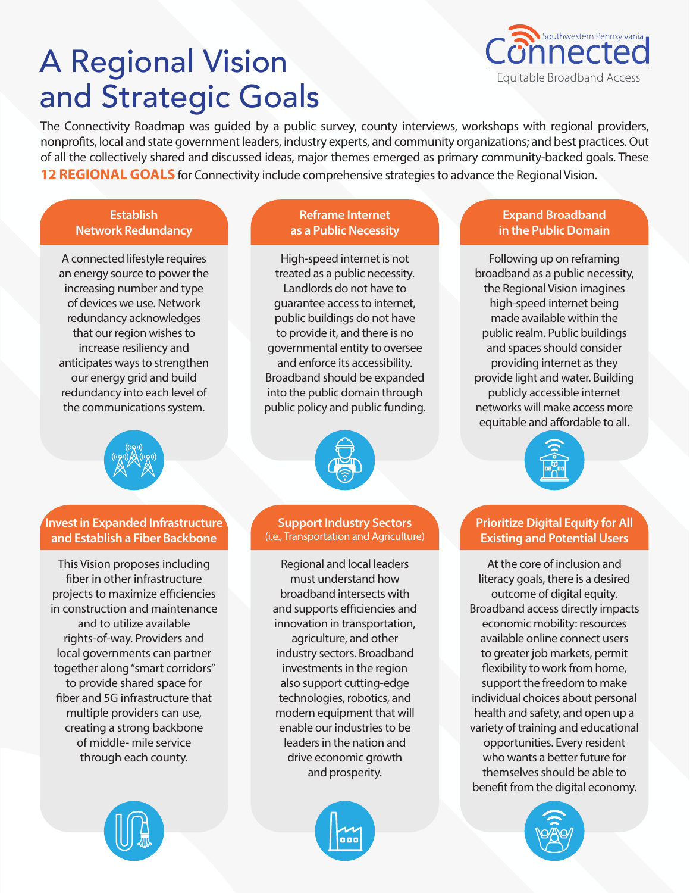# A Regional Vision and Strategic Goals



The Connectivity Roadmap was guided by a public survey, county interviews, workshops with regional providers, nonprofits, local and state government leaders, industry experts, and community organizations; and best practices. Out of all the collectively shared and discussed ideas, major themes emerged as primary community-backed goals. These **12 REGIONAL GOALS** for Connectivity include comprehensive strategies to advance the Regional Vision.

# **Establish Network Redundancy**

A connected lifestyle requires an energy source to power the increasing number and type of devices we use. Network redundancy acknowledges that our region wishes to increase resiliency and anticipates ways to strengthen our energy grid and build redundancy into each level of the communications system.

**Invest in Expanded Infrastructure and Establish a Fiber Backbone**

This Vision proposes including fiber in other infrastructure projects to maximize efficiencies in construction and maintenance and to utilize available rights-of-way. Providers and local governments can partner together along "smart corridors" to provide shared space for fiber and 5G infrastructure that multiple providers can use, creating a strong backbone of middle- mile service through each county.



High-speed internet is not treated as a public necessity. Landlords do not have to guarantee access to internet, public buildings do not have to provide it, and there is no governmental entity to oversee and enforce its accessibility. Broadband should be expanded into the public domain through public policy and public funding.



**Support Industry Sectors**  (i.e., Transportation and Agriculture)

Regional and local leaders must understand how broadband intersects with and supports efficiencies and innovation in transportation, agriculture, and other industry sectors. Broadband investments in the region also support cutting-edge technologies, robotics, and modern equipment that will enable our industries to be leaders in the nation and drive economic growth and prosperity.





# **Expand Broadband in the Public Domain**

Following up on reframing broadband as a public necessity, the Regional Vision imagines high-speed internet being made available within the public realm. Public buildings and spaces should consider providing internet as they provide light and water. Building publicly accessible internet networks will make access more equitable and affordable to all.



# **Prioritize Digital Equity for All Existing and Potential Users**

At the core of inclusion and literacy goals, there is a desired outcome of digital equity. Broadband access directly impacts economic mobility: resources available online connect users to greater job markets, permit flexibility to work from home, support the freedom to make individual choices about personal health and safety, and open up a variety of training and educational opportunities. Every resident who wants a better future for themselves should be able to benefit from the digital economy.